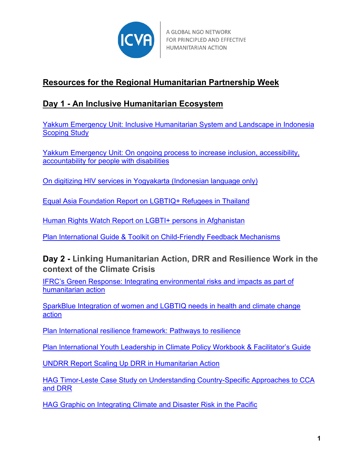

A GLOBAL NGO NETWORK FOR PRINCIPLED AND EFFECTIVE HUMANITARIAN ACTION

# **Resources for the Regional Humanitarian Partnership Week**

## **Day 1 - An Inclusive Humanitarian Ecosystem**

[Yakkum Emergency Unit: Inclusive Humanitarian System and Landscape in Indonesia](https://yeu.or.id/en/scoping-study.html)  [Scoping Study](https://yeu.or.id/en/scoping-study.html) 

[Yakkum Emergency Unit: On ongoing process to increase inclusion, accessibility,](https://inovasi.yeu.or.id/en/)  [accountability for people with disabilities](https://inovasi.yeu.or.id/en/)

[On digitizing HIV services in Yogyakarta \(Indonesian language only\)](https://ekstrim.org/)

[Equal Asia Foundation Report on LGBTIQ+ Refugees in Thailand](https://www.aidsdatahub.org/sites/default/files/resource/equalaf-report-lgbti-refugees-2020.pdf)

[Human Rights Watch Report on LGBTI+ persons in Afghanistan](https://www.hrw.org/report/2022/01/26/even-if-you-go-skies-well-find-you/lgbt-people-afghanistan-after-taliban-takeover)

[Plan International Guide & Toolkit on Child-Friendly Feedback Mechanisms](https://plan-international.org/publications/child-friendly-feedback-mechanisms-guide-and-toolkit#:%7E:text=At%20Plan%20International%2C%20child-friendly%20feedback%20mechanisms%20are%20key,opportunities%20to%20provide%20feedback%20on%20our%20humanitarian%20programming)

### **Day 2 - Linking Humanitarian Action, DRR and Resilience Work in the context of the Climate Crisis**

IFRC's [Green Response: Integrating environmental risks and impacts as part of](https://www.ifrc.org/green-response)  [humanitarian action](https://www.ifrc.org/green-response)

[SparkBlue Integration of women and LGBTIQ needs in health and climate change](https://www.sparkblue.org/discussion/ensuring-integration-women-and-lgbti-peoples-needs-health-and-climate-change-action)  [action](https://www.sparkblue.org/discussion/ensuring-integration-women-and-lgbti-peoples-needs-health-and-climate-change-action)

[Plan International resilience framework: Pathways to resilience](https://plan-international.org/publications/pathways-resilience#:%7E:text=Plan%20International%20has%20developed%20a%20new%20framework%2C%20Pathways,and%20youths%20through%20projects%2C%20programmes%20and%20country%20strategies)

[Plan International Youth Leadership in Climate Policy Workbook & Facilitator's Guide](https://plan-international.org/publications/youth-leadership-climate-policy-workbook-and-facilitators-guide)

[UNDRR Report Scaling Up DRR in Humanitarian Action](https://www.undrr.org/publication/scaling-disaster-risk-reduction-humanitarian-action)

[HAG Timor-Leste Case Study on Understanding Country-Specific Approaches to CCA](https://humanitarianadvisorygroup.org/insight/beyond-barriers-timor-leste-case-study/)  [and DRR](https://humanitarianadvisorygroup.org/insight/beyond-barriers-timor-leste-case-study/)

[HAG Graphic on Integrating Climate and Disaster](https://humanitarianadvisorygroup.org/wp-content/uploads/2021/12/Learning-Workshop-Doodle-scaled.jpg) Risk in the Pacific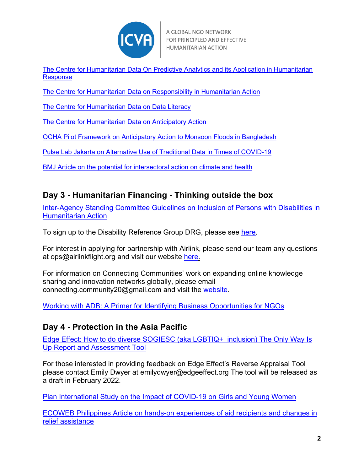

[The Centre for Humanitarian Data On Predictive Analytics and its Application in Humanitarian](https://centre.humdata.org/predictive-analytics/)  [Response](https://centre.humdata.org/predictive-analytics/)

[The Centre for Humanitarian Data on Responsibility in Humanitarian Action](https://centre.humdata.org/data-responsibility/) 

[The Centre for Humanitarian Data on Data Literacy](https://centre.humdata.org/data-literacy/)

[The Centre for Humanitarian Data on Anticipatory Action](https://centre.humdata.org/anticipatory-action/)

[OCHA Pilot Framework on Anticipatory Action to Monsoon Floods in Bangladesh](https://reliefweb.int/report/bangladesh/anticipatory-action-framework-bangladesh-monsoon-floods)

[Pulse Lab Jakarta on Alternative Use of Traditional Data in Times of COVID-19](https://medium.com/pulse-lab-jakarta/alternative-use-of-traditional-data-in-times-of-covid-19-558914f23f7f)

[BMJ Article on the potential for intersectoral action on climate and health](https://www.bmj.com/content/376/bmj-2021-068124.full?ijkey=Mg43Izizedbhnfe&keytype=ref)

### **Day 3 - Humanitarian Financing - Thinking outside the box**

Inter-Agency Standing Committee Guidelines on Inclusion of Persons with Disabilities in Humanitarian Action

To sign up to the Disability Reference Group DRG, please see [here.](https://www.internationaldisabilityalliance.org/drg)

For interest in applying for partnership with Airlink, please send our team any questions at [ops@airlinkflight.org](mailto:ops@airlinkflight.org) and visit our website [here.](https://airlinkflight.org/about-us/partners/become-an-ngo-partner/)

For information on Connecting Communities' work on expanding online knowledge sharing and innovation networks globally, please email [connecting.community20@gmail.com](mailto:connecting.community20@gmail.com) and visit the [website.](https://connectingbd.org/)

[Working with ADB: A Primer for Identifying Business Opportunities for NGOs](https://www.adb.org/publications/primer-identifying-business-opportunities-ngos)

#### **Day 4 - Protection in the Asia Pacific**

Edge Effect: [How to do diverse SOGIESC \(aka LGBTIQ+ inclusion\) The Only Way Is](https://www.edgeeffect.org/project/0022/)  [Up Report and Assessment Tool](https://www.edgeeffect.org/project/0022/)

For those interested in providing feedback on Edge Effect's Reverse Appraisal Tool please contact Emily Dwyer at [emilydwyer@edgeeffect.org](mailto:emilydwyer@edgeeffect.org) The tool will be released as a draft in February 2022.

[Plan International Study on the Impact of COVID-19 on Girls and Young Women](https://plan-international.org/publications/halting-lives-2-in-their-own-voice)

[ECOWEB Philippines Article on hands-on experiences of aid recipients and changes in](https://ecowebph.org/surigao-city-evacuees-unveil-hands-on-experience-in-receiving-aid-see-changes-in-relief-assistance/publications/feature-story/?fbclid=IwAR29sW5VVxnqCpAgtiR6BcHd0xCsNuUcYZLm0ZBQOhsLjQohp0ythR33yNI)  [relief assistance](https://ecowebph.org/surigao-city-evacuees-unveil-hands-on-experience-in-receiving-aid-see-changes-in-relief-assistance/publications/feature-story/?fbclid=IwAR29sW5VVxnqCpAgtiR6BcHd0xCsNuUcYZLm0ZBQOhsLjQohp0ythR33yNI)